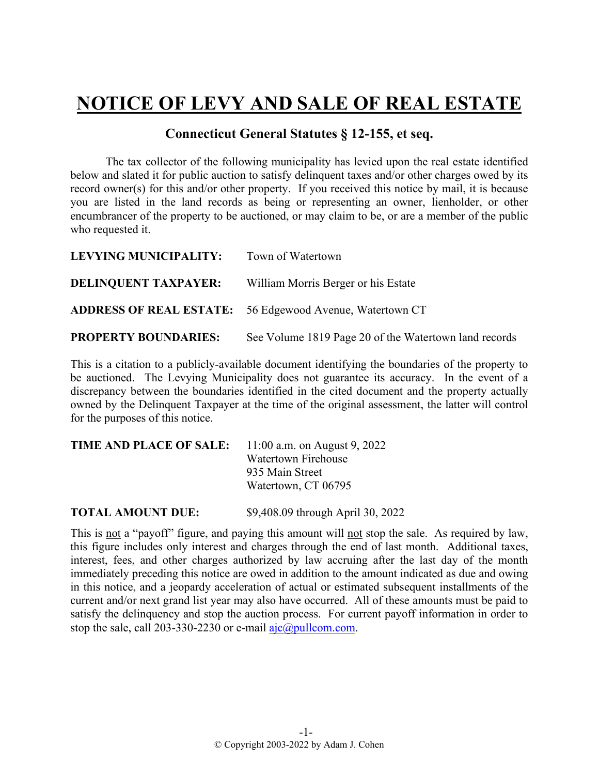## **NOTICE OF LEVY AND SALE OF REAL ESTATE**

## **Connecticut General Statutes § 12-155, et seq.**

The tax collector of the following municipality has levied upon the real estate identified below and slated it for public auction to satisfy delinquent taxes and/or other charges owed by its record owner(s) for this and/or other property. If you received this notice by mail, it is because you are listed in the land records as being or representing an owner, lienholder, or other encumbrancer of the property to be auctioned, or may claim to be, or are a member of the public who requested it.

| LEVYING MUNICIPALITY:       | Town of Watertown                                               |
|-----------------------------|-----------------------------------------------------------------|
| <b>DELINQUENT TAXPAYER:</b> | William Morris Berger or his Estate                             |
|                             | <b>ADDRESS OF REAL ESTATE:</b> 56 Edgewood Avenue, Watertown CT |
| <b>PROPERTY BOUNDARIES:</b> | See Volume 1819 Page 20 of the Watertown land records           |

This is a citation to a publicly-available document identifying the boundaries of the property to be auctioned. The Levying Municipality does not guarantee its accuracy. In the event of a discrepancy between the boundaries identified in the cited document and the property actually owned by the Delinquent Taxpayer at the time of the original assessment, the latter will control for the purposes of this notice.

| <b>TIME AND PLACE OF SALE:</b> 11:00 a.m. on August 9, 2022 |                     |
|-------------------------------------------------------------|---------------------|
|                                                             | Watertown Firehouse |
|                                                             | 935 Main Street     |
|                                                             | Watertown, CT 06795 |
|                                                             |                     |

**TOTAL AMOUNT DUE:** \$9,408.09 through April 30, 2022

This is not a "payoff" figure, and paying this amount will not stop the sale. As required by law, this figure includes only interest and charges through the end of last month. Additional taxes, interest, fees, and other charges authorized by law accruing after the last day of the month immediately preceding this notice are owed in addition to the amount indicated as due and owing in this notice, and a jeopardy acceleration of actual or estimated subsequent installments of the current and/or next grand list year may also have occurred. All of these amounts must be paid to satisfy the delinquency and stop the auction process. For current payoff information in order to stop the sale, call 203-330-2230 or e-mail  $a$ jc $@p$ ullcom.com.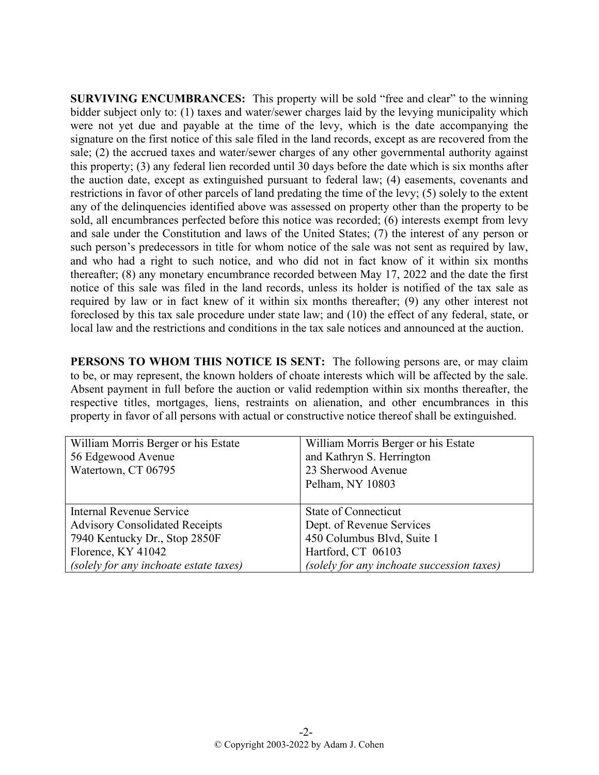**SURVIVING ENCUMBRANCES:** This property will be sold "free and clear" to the winning bidder subject only to: (1) taxes and water/sewer charges laid by the levying municipality which were not yet due and payable at the time of the levy, which is the date accompanying the signature on the first notice of this sale filed in the land records, except as are recovered from the sale; (2) the accrued taxes and water/sewer charges of any other governmental authority against this property; (3) any federal lien recorded until 30 days before the date which is six months after the auction date, except as extinguished pursuant to federal law; (4) easements, covenants and restrictions in favor of other parcels of land predating the time of the levy; (5) solely to the extent any of the delinquencies identified above was assessed on property other than the property to be sold, all encumbrances perfected before this notice was recorded; (6) interests exempt from levy and sale under the Constitution and laws of the United States; (7) the interest of any person or such person's predecessors in title for whom notice of the sale was not sent as required by law, and who had a right to such notice, and who did not in fact know of it within six months thereafter; (8) any monetary encumbrance recorded between May 17, 2022 and the date the first notice of this sale was filed in the land records, unless its holder is notified of the tax sale as required by law or in fact knew of it within six months thereafter; (9) any other interest not foreclosed by this tax sale procedure under state law; and (10) the effect of any federal, state, or local law and the restrictions and conditions in the tax sale notices and announced at the auction.

**PERSONS TO WHOM THIS NOTICE IS SENT:** The following persons are, or may claim to be, or may represent, the known holders of choate interests which will be affected by the sale. Absent payment in full before the auction or valid redemption within six months thereafter, the respective titles, mortgages, liens, restraints on alienation, and other encumbrances in this property in favor of all persons with actual or constructive notice thereof shall be extinguished.

| William Morris Berger or his Estate    | William Morris Berger or his Estate        |
|----------------------------------------|--------------------------------------------|
| 56 Edgewood Avenue                     | and Kathryn S. Herrington                  |
| Watertown, CT 06795                    | 23 Sherwood Avenue                         |
|                                        | Pelham, NY 10803                           |
|                                        |                                            |
| Internal Revenue Service               | State of Connecticut                       |
| <b>Advisory Consolidated Receipts</b>  | Dept. of Revenue Services                  |
| 7940 Kentucky Dr., Stop 2850F          | 450 Columbus Blvd, Suite 1                 |
| Florence, KY 41042                     | Hartford, CT 06103                         |
| (solely for any inchoate estate taxes) | (solely for any inchoate succession taxes) |